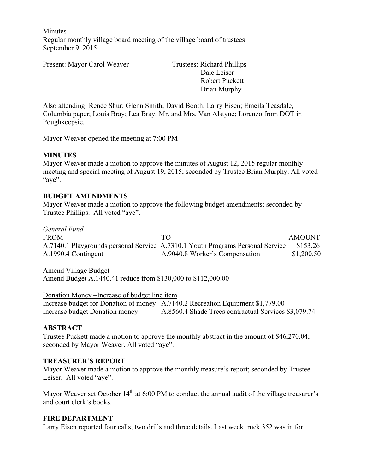**Minutes** Regular monthly village board meeting of the village board of trustees September 9, 2015

Present: Mayor Carol Weaver Trustees: Richard Phillips

 Dale Leiser Robert Puckett Brian Murphy

Also attending: Renée Shur; Glenn Smith; David Booth; Larry Eisen; Emeila Teasdale, Columbia paper; Louis Bray; Lea Bray; Mr. and Mrs. Van Alstyne; Lorenzo from DOT in Poughkeepsie.

Mayor Weaver opened the meeting at 7:00 PM

## **MINUTES**

Mayor Weaver made a motion to approve the minutes of August 12, 2015 regular monthly meeting and special meeting of August 19, 2015; seconded by Trustee Brian Murphy. All voted "aye".

## **BUDGET AMENDMENTS**

Mayor Weaver made a motion to approve the following budget amendments; seconded by Trustee Phillips. All voted "aye".

#### *General Fund*

| <b>FROM</b>         | TO                                                                             | <b>AMOUNT</b> |
|---------------------|--------------------------------------------------------------------------------|---------------|
|                     | A.7140.1 Playgrounds personal Service A.7310.1 Youth Programs Personal Service | \$153.26      |
| A.1990.4 Contingent | A.9040.8 Worker's Compensation                                                 | \$1,200.50    |

Amend Village Budget Amend Budget A.1440.41 reduce from \$130,000 to \$112,000.00

Donation Money –Increase of budget line item Increase budget for Donation of money A.7140.2 Recreation Equipment \$1,779.00 Increase budget Donation money A.8560.4 Shade Trees contractual Services \$3,079.74

#### **ABSTRACT**

Trustee Puckett made a motion to approve the monthly abstract in the amount of \$46,270.04; seconded by Mayor Weaver. All voted "aye".

#### **TREASURER'S REPORT**

Mayor Weaver made a motion to approve the monthly treasure's report; seconded by Trustee Leiser. All voted "aye".

Mayor Weaver set October  $14<sup>th</sup>$  at 6:00 PM to conduct the annual audit of the village treasurer's and court clerk's books.

#### **FIRE DEPARTMENT**

Larry Eisen reported four calls, two drills and three details. Last week truck 352 was in for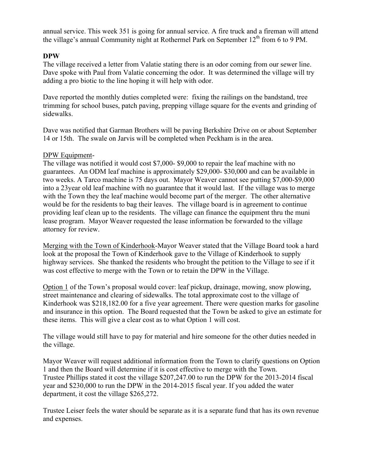annual service. This week 351 is going for annual service. A fire truck and a fireman will attend the village's annual Community night at Rothermel Park on September  $12<sup>th</sup>$  from 6 to 9 PM.

#### **DPW**

The village received a letter from Valatie stating there is an odor coming from our sewer line. Dave spoke with Paul from Valatie concerning the odor. It was determined the village will try adding a pro biotic to the line hoping it will help with odor.

Dave reported the monthly duties completed were: fixing the railings on the bandstand, tree trimming for school buses, patch paving, prepping village square for the events and grinding of sidewalks.

Dave was notified that Garman Brothers will be paving Berkshire Drive on or about September 14 or 15th. The swale on Jarvis will be completed when Peckham is in the area.

#### DPW Equipment-

The village was notified it would cost \$7,000- \$9,000 to repair the leaf machine with no guarantees. An ODM leaf machine is approximately \$29,000- \$30,000 and can be available in two weeks. A Tarco machine is 75 days out. Mayor Weaver cannot see putting \$7,000-\$9,000 into a 23year old leaf machine with no guarantee that it would last. If the village was to merge with the Town they the leaf machine would become part of the merger. The other alternative would be for the residents to bag their leaves. The village board is in agreement to continue providing leaf clean up to the residents. The village can finance the equipment thru the muni lease program. Mayor Weaver requested the lease information be forwarded to the village attorney for review.

Merging with the Town of Kinderhook-Mayor Weaver stated that the Village Board took a hard look at the proposal the Town of Kinderhook gave to the Village of Kinderhook to supply highway services. She thanked the residents who brought the petition to the Village to see if it was cost effective to merge with the Town or to retain the DPW in the Village.

Option 1 of the Town's proposal would cover: leaf pickup, drainage, mowing, snow plowing, street maintenance and clearing of sidewalks. The total approximate cost to the village of Kinderhook was \$218,182.00 for a five year agreement. There were question marks for gasoline and insurance in this option. The Board requested that the Town be asked to give an estimate for these items. This will give a clear cost as to what Option 1 will cost.

The village would still have to pay for material and hire someone for the other duties needed in the village.

Mayor Weaver will request additional information from the Town to clarify questions on Option 1 and then the Board will determine if it is cost effective to merge with the Town. Trustee Phillips stated it cost the village \$207,247.00 to run the DPW for the 2013-2014 fiscal year and \$230,000 to run the DPW in the 2014-2015 fiscal year. If you added the water department, it cost the village \$265,272.

Trustee Leiser feels the water should be separate as it is a separate fund that has its own revenue and expenses.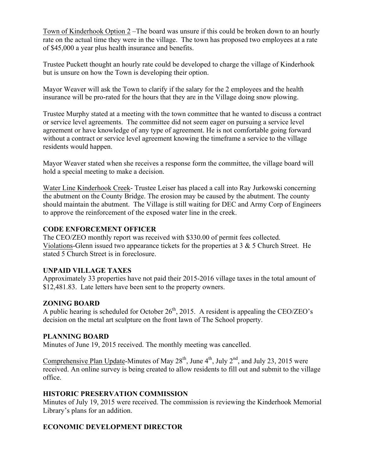Town of Kinderhook Option 2 –The board was unsure if this could be broken down to an hourly rate on the actual time they were in the village. The town has proposed two employees at a rate of \$45,000 a year plus health insurance and benefits.

Trustee Puckett thought an hourly rate could be developed to charge the village of Kinderhook but is unsure on how the Town is developing their option.

Mayor Weaver will ask the Town to clarify if the salary for the 2 employees and the health insurance will be pro-rated for the hours that they are in the Village doing snow plowing.

Trustee Murphy stated at a meeting with the town committee that he wanted to discuss a contract or service level agreements. The committee did not seem eager on pursuing a service level agreement or have knowledge of any type of agreement. He is not comfortable going forward without a contract or service level agreement knowing the timeframe a service to the village residents would happen.

Mayor Weaver stated when she receives a response form the committee, the village board will hold a special meeting to make a decision.

Water Line Kinderhook Creek- Trustee Leiser has placed a call into Ray Jurkowski concerning the abutment on the County Bridge. The erosion may be caused by the abutment. The county should maintain the abutment. The Village is still waiting for DEC and Army Corp of Engineers to approve the reinforcement of the exposed water line in the creek.

## **CODE ENFORCEMENT OFFICER**

The CEO/ZEO monthly report was received with \$330.00 of permit fees collected. Violations-Glenn issued two appearance tickets for the properties at 3 & 5 Church Street. He stated 5 Church Street is in foreclosure.

## **UNPAID VILLAGE TAXES**

Approximately 33 properties have not paid their 2015-2016 village taxes in the total amount of \$12,481.83. Late letters have been sent to the property owners.

## **ZONING BOARD**

A public hearing is scheduled for October  $26<sup>th</sup>$ , 2015. A resident is appealing the CEO/ZEO's decision on the metal art sculpture on the front lawn of The School property.

## **PLANNING BOARD**

Minutes of June 19, 2015 received. The monthly meeting was cancelled.

Comprehensive Plan Update-Minutes of May  $28<sup>th</sup>$ , June  $4<sup>th</sup>$ , July  $2<sup>nd</sup>$ , and July 23, 2015 were received. An online survey is being created to allow residents to fill out and submit to the village office.

## **HISTORIC PRESERVATION COMMISSION**

Minutes of July 19, 2015 were received. The commission is reviewing the Kinderhook Memorial Library's plans for an addition.

## **ECONOMIC DEVELOPMENT DIRECTOR**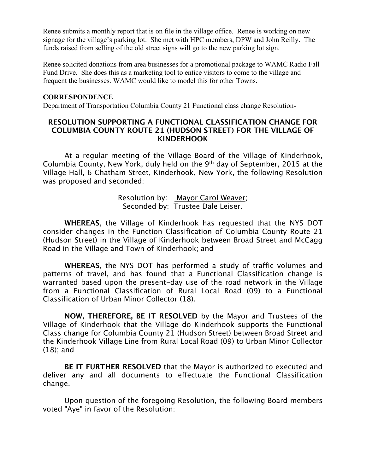Renee submits a monthly report that is on file in the village office. Renee is working on new signage for the village's parking lot. She met with HPC members, DPW and John Reilly. The funds raised from selling of the old street signs will go to the new parking lot sign.

Renee solicited donations from area businesses for a promotional package to WAMC Radio Fall Fund Drive. She does this as a marketing tool to entice visitors to come to the village and frequent the businesses. WAMC would like to model this for other Towns.

#### **CORRESPONDENCE**

Department of Transportation Columbia County 21 Functional class change Resolution**-**

## **RESOLUTION SUPPORTING A FUNCTIONAL CLASSIFICATION CHANGE FOR COLUMBIA COUNTY ROUTE 21 (HUDSON STREET) FOR THE VILLAGE OF KINDERHOOK**

At a regular meeting of the Village Board of the Village of Kinderhook, Columbia County, New York, duly held on the 9th day of September, 2015 at the Village Hall, 6 Chatham Street, Kinderhook, New York, the following Resolution was proposed and seconded:

## Resolution by: Mayor Carol Weaver; Seconded by: Trustee Dale Leiser.

**WHEREAS**, the Village of Kinderhook has requested that the NYS DOT consider changes in the Function Classification of Columbia County Route 21 (Hudson Street) in the Village of Kinderhook between Broad Street and McCagg Road in the Village and Town of Kinderhook; and

**WHEREAS**, the NYS DOT has performed a study of traffic volumes and patterns of travel, and has found that a Functional Classification change is warranted based upon the present-day use of the road network in the Village from a Functional Classification of Rural Local Road (09) to a Functional Classification of Urban Minor Collector (18).

**NOW, THEREFORE, BE IT RESOLVED** by the Mayor and Trustees of the Village of Kinderhook that the Village do Kinderhook supports the Functional Class change for Columbia County 21 (Hudson Street) between Broad Street and the Kinderhook Village Line from Rural Local Road (09) to Urban Minor Collector (18); and

**BE IT FURTHER RESOLVED** that the Mayor is authorized to executed and deliver any and all documents to effectuate the Functional Classification change.

Upon question of the foregoing Resolution, the following Board members voted "Aye" in favor of the Resolution: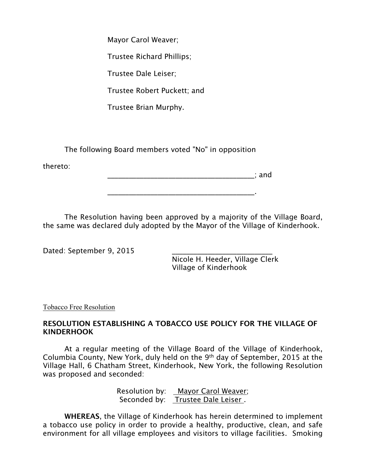Mayor Carol Weaver; Trustee Richard Phillips; Trustee Dale Leiser; Trustee Robert Puckett; and Trustee Brian Murphy.

The following Board members voted "No" in opposition

thereto:

\_\_\_\_\_\_\_\_\_\_\_\_\_\_\_\_\_\_\_\_\_\_\_\_\_\_\_\_\_\_\_\_\_\_\_\_\_\_\_\_\_; and

The Resolution having been approved by a majority of the Village Board, the same was declared duly adopted by the Mayor of the Village of Kinderhook.

\_\_\_\_\_\_\_\_\_\_\_\_\_\_\_\_\_\_\_\_\_\_\_\_\_\_\_\_\_\_\_\_\_\_\_\_\_\_\_\_\_.

Dated: September 9, 2015

Nicole H. Heeder, Village Clerk Village of Kinderhook

Tobacco Free Resolution

# **RESOLUTION ESTABLISHING A TOBACCO USE POLICY FOR THE VILLAGE OF KINDERHOOK**

At a regular meeting of the Village Board of the Village of Kinderhook, Columbia County, New York, duly held on the 9th day of September, 2015 at the Village Hall, 6 Chatham Street, Kinderhook, New York, the following Resolution was proposed and seconded:

> Resolution by: Mayor Carol Weaver; Seconded by: Trustee Dale Leiser.

**WHEREAS**, the Village of Kinderhook has herein determined to implement a tobacco use policy in order to provide a healthy, productive, clean, and safe environment for all village employees and visitors to village facilities. Smoking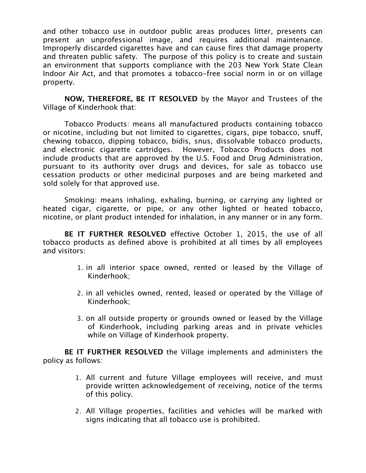and other tobacco use in outdoor public areas produces litter, presents can present an unprofessional image, and requires additional maintenance. Improperly discarded cigarettes have and can cause fires that damage property and threaten public safety. The purpose of this policy is to create and sustain an environment that supports compliance with the 203 New York State Clean Indoor Air Act, and that promotes a tobacco-free social norm in or on village property.

**NOW, THEREFORE, BE IT RESOLVED** by the Mayor and Trustees of the Village of Kinderhook that:

Tobacco Products: means all manufactured products containing tobacco or nicotine, including but not limited to cigarettes, cigars, pipe tobacco, snuff, chewing tobacco, dipping tobacco, bidis, snus, dissolvable tobacco products, and electronic cigarette cartridges. However, Tobacco Products does not include products that are approved by the U.S. Food and Drug Administration, pursuant to its authority over drugs and devices, for sale as tobacco use cessation products or other medicinal purposes and are being marketed and sold solely for that approved use.

Smoking: means inhaling, exhaling, burning, or carrying any lighted or heated cigar, cigarette, or pipe, or any other lighted or heated tobacco, nicotine, or plant product intended for inhalation, in any manner or in any form.

**BE IT FURTHER RESOLVED** effective October 1, 2015, the use of all tobacco products as defined above is prohibited at all times by all employees and visitors:

- 1. in all interior space owned, rented or leased by the Village of Kinderhook;
- 2. in all vehicles owned, rented, leased or operated by the Village of Kinderhook;
- 3. on all outside property or grounds owned or leased by the Village of Kinderhook, including parking areas and in private vehicles while on Village of Kinderhook property.

**BE IT FURTHER RESOLVED** the Village implements and administers the policy as follows:

- 1. All current and future Village employees will receive, and must provide written acknowledgement of receiving, notice of the terms of this policy.
- 2. All Village properties, facilities and vehicles will be marked with signs indicating that all tobacco use is prohibited.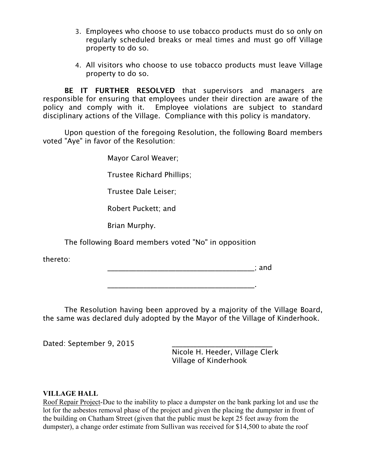- 3. Employees who choose to use tobacco products must do so only on regularly scheduled breaks or meal times and must go off Village property to do so.
- 4. All visitors who choose to use tobacco products must leave Village property to do so.

**BE IT FURTHER RESOLVED** that supervisors and managers are responsible for ensuring that employees under their direction are aware of the policy and comply with it. Employee violations are subject to standard disciplinary actions of the Village. Compliance with this policy is mandatory.

Upon question of the foregoing Resolution, the following Board members voted "Aye" in favor of the Resolution:

Mayor Carol Weaver;

Trustee Richard Phillips;

Trustee Dale Leiser;

Robert Puckett; and

Brian Murphy.

The following Board members voted "No" in opposition

thereto:

 $\blacksquare$  and  $\blacksquare$ 

The Resolution having been approved by a majority of the Village Board, the same was declared duly adopted by the Mayor of the Village of Kinderhook.

\_\_\_\_\_\_\_\_\_\_\_\_\_\_\_\_\_\_\_\_\_\_\_\_\_\_\_\_\_\_\_\_\_\_\_\_\_\_\_\_\_.

Dated: September 9, 2015

Nicole H. Heeder, Village Clerk Village of Kinderhook

## **VILLAGE HALL**

Roof Repair Project-Due to the inability to place a dumpster on the bank parking lot and use the lot for the asbestos removal phase of the project and given the placing the dumpster in front of the building on Chatham Street (given that the public must be kept 25 feet away from the dumpster), a change order estimate from Sullivan was received for \$14,500 to abate the roof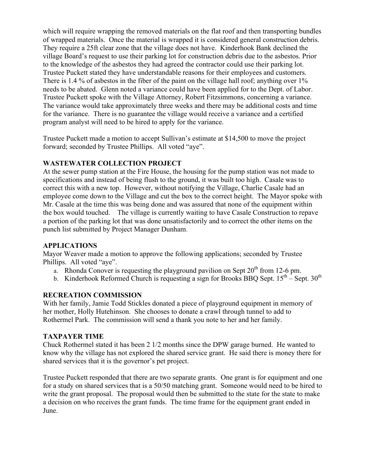which will require wrapping the removed materials on the flat roof and then transporting bundles of wrapped materials. Once the material is wrapped it is considered general construction debris. They require a 25ft clear zone that the village does not have. Kinderhook Bank declined the village Board's request to use their parking lot for construction debris due to the asbestos. Prior to the knowledge of the asbestos they had agreed the contractor could use their parking lot. Trustee Puckett stated they have understandable reasons for their employees and customers. There is 1.4 % of asbestos in the fiber of the paint on the village hall roof; anything over 1% needs to be abated. Glenn noted a variance could have been applied for to the Dept. of Labor. Trustee Puckett spoke with the Village Attorney, Robert Fitzsimmons, concerning a variance. The variance would take approximately three weeks and there may be additional costs and time for the variance. There is no guarantee the village would receive a variance and a certified program analyst will need to be hired to apply for the variance.

Trustee Puckett made a motion to accept Sullivan's estimate at \$14,500 to move the project forward; seconded by Trustee Phillips. All voted "aye".

#### **WASTEWATER COLLECTION PROJECT**

At the sewer pump station at the Fire House, the housing for the pump station was not made to specifications and instead of being flush to the ground, it was built too high. Casale was to correct this with a new top. However, without notifying the Village, Charlie Casale had an employee come down to the Village and cut the box to the correct height. The Mayor spoke with Mr. Casale at the time this was being done and was assured that none of the equipment within the box would touched. The village is currently waiting to have Casale Construction to repave a portion of the parking lot that was done unsatisfactorily and to correct the other items on the punch list submitted by Project Manager Dunham.

#### **APPLICATIONS**

Mayor Weaver made a motion to approve the following applications; seconded by Trustee Phillips. All voted "aye".

- a. Rhonda Conover is requesting the playground pavilion on Sept  $20<sup>th</sup>$  from 12-6 pm.
- b. Kinderhook Reformed Church is requesting a sign for Brooks BBQ Sept.  $15^{th}$  Sept.  $30^{th}$

#### **RECREATION COMMISSION**

With her family, Jamie Todd Stickles donated a piece of playground equipment in memory of her mother, Holly Hutehinson. She chooses to donate a crawl through tunnel to add to Rothermel Park. The commission will send a thank you note to her and her family.

#### **TAXPAYER TIME**

Chuck Rothermel stated it has been 2 1/2 months since the DPW garage burned. He wanted to know why the village has not explored the shared service grant. He said there is money there for shared services that it is the governor's pet project.

Trustee Puckett responded that there are two separate grants. One grant is for equipment and one for a study on shared services that is a 50/50 matching grant. Someone would need to be hired to write the grant proposal. The proposal would then be submitted to the state for the state to make a decision on who receives the grant funds. The time frame for the equipment grant ended in June.